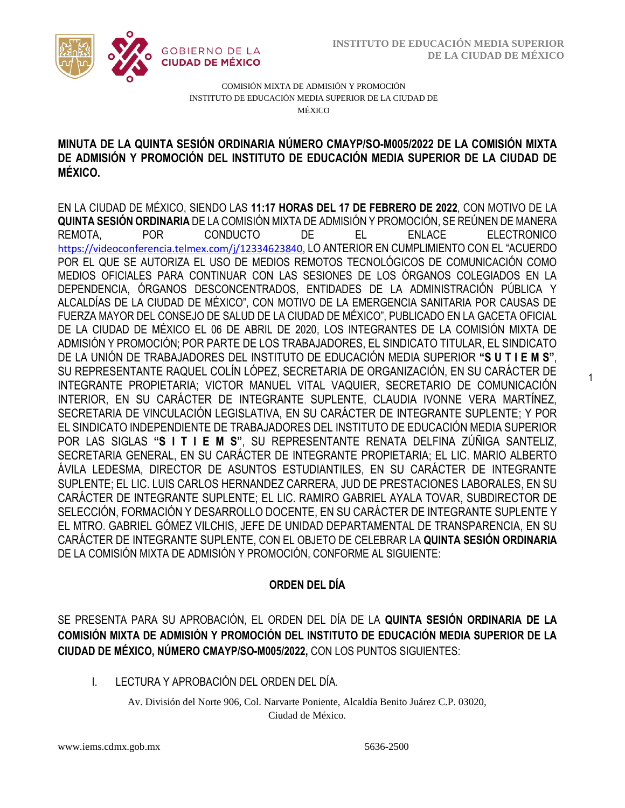1



COMISIÓN MIXTA DE ADMISIÓN Y PROMOCIÓN INSTITUTO DE EDUCACIÓN MEDIA SUPERIOR DE LA CIUDAD DE MÉXICO

## DE ADMISIÓN Y PROMOCIÓN DEL INSTITUTO DE EDUCACIÓN MEDIA SUPERIOR DE LA CIUDAD DE **MINUTA DE LA QUINTA SESIÓN ORDINARIA NÚMERO CMAYP/SO-M005/2022 DE LA COMISIÓN MIXTA MÉXICO.**

EN LA CIUDAD DE MÉXICO, SIENDO LAS **11:17 HORAS DEL 17 DE FEBRERO DE 2022**, CON MOTIVO DE LA **QUINTA SESIÓN ORDINARIA** DE LA COMISIÓN MIXTA DE ADMISIÓN Y PROMOCIÓN, SE REÚNEN DE MANERA REMOTA, POR CONDUCTO DE EL ENLACE ELECTRONICO <https://videoconferencia.telmex.com/j/12334623840>, LO ANTERIOR EN CUMPLIMIENTO CON EL "ACUERDO POR EL QUE SE AUTORIZA EL USO DE MEDIOS REMOTOS TECNOLÓGICOS DE COMUNICACIÓN COMO MEDIOS OFICIALES PARA CONTINUAR CON LAS SESIONES DE LOS ÓRGANOS COLEGIADOS EN LA DEPENDENCIA, ÓRGANOS DESCONCENTRADOS, ENTIDADES DE LA ADMINISTRACIÓN PÚBLICA Y ALCALDÍAS DE LA CIUDAD DE MÉXICO", CON MOTIVO DE LA EMERGENCIA SANITARIA POR CAUSAS DE FUERZA MAYOR DEL CONSEJO DE SALUD DE LA CIUDAD DE MÉXICO", PUBLICADO EN LA GACETA OFICIAL DE LA CIUDAD DE MÉXICO EL 06 DE ABRIL DE 2020, LOS INTEGRANTES DE LA COMISIÓN MIXTA DE ADMISIÓN Y PROMOCIÓN; POR PARTE DE LOS TRABAJADORES, EL SINDICATO TITULAR, EL SINDICATO DE LA UNIÓN DE TRABAJADORES DEL INSTITUTO DE EDUCACIÓN MEDIA SUPERIOR **"S U T I E M S"**, SU REPRESENTANTE RAQUEL COLÍN LÓPEZ, SECRETARIA DE ORGANIZACIÓN, EN SU CARÁCTER DE INTEGRANTE PROPIETARIA; VICTOR MANUEL VITAL VAQUIER, SECRETARIO DE COMUNICACIÓN INTERIOR, EN SU CARÁCTER DE INTEGRANTE SUPLENTE, CLAUDIA IVONNE VERA MARTÍNEZ, SECRETARIA DE VINCULACIÓN LEGISLATIVA, EN SU CARÁCTER DE INTEGRANTE SUPLENTE; Y POR EL SINDICATO INDEPENDIENTE DE TRABAJADORES DEL INSTITUTO DE EDUCACIÓN MEDIA SUPERIOR POR LAS SIGLAS **"S I T I E M S"**, SU REPRESENTANTE RENATA DELFINA ZÚÑIGA SANTELIZ, SECRETARIA GENERAL, EN SU CARÁCTER DE INTEGRANTE PROPIETARIA; EL LIC. MARIO ALBERTO ÁVILA LEDESMA, DIRECTOR DE ASUNTOS ESTUDIANTILES, EN SU CARÁCTER DE INTEGRANTE SUPLENTE; EL LIC. LUIS CARLOS HERNANDEZ CARRERA, JUD DE PRESTACIONES LABORALES, EN SU CARÁCTER DE INTEGRANTE SUPLENTE; EL LIC. RAMIRO GABRIEL AYALA TOVAR, SUBDIRECTOR DE SELECCIÓN, FORMACIÓN Y DESARROLLO DOCENTE, EN SU CARÁCTER DE INTEGRANTE SUPLENTE Y EL MTRO. GABRIEL GÓMEZ VILCHIS, JEFE DE UNIDAD DEPARTAMENTAL DE TRANSPARENCIA, EN SU CARÁCTER DE INTEGRANTE SUPLENTE, CON EL OBJETO DE CELEBRAR LA **QUINTA SESIÓN ORDINARIA** DE LA COMISIÓN MIXTA DE ADMISIÓN Y PROMOCIÓN, CONFORME AL SIGUIENTE:

# **ORDEN DEL DÍA**

SE PRESENTA PARA SU APROBACIÓN, EL ORDEN DEL DÍA DE LA **QUINTA SESIÓN ORDINARIA DE LA COMISIÓN MIXTA DE ADMISIÓN Y PROMOCIÓN DEL INSTITUTO DE EDUCACIÓN MEDIA SUPERIOR DE LA CIUDAD DE MÉXICO, NÚMERO CMAYP/SO-M005/2022,** CON LOS PUNTOS SIGUIENTES:

I. LECTURA Y APROBACIÓN DEL ORDEN DEL DÍA.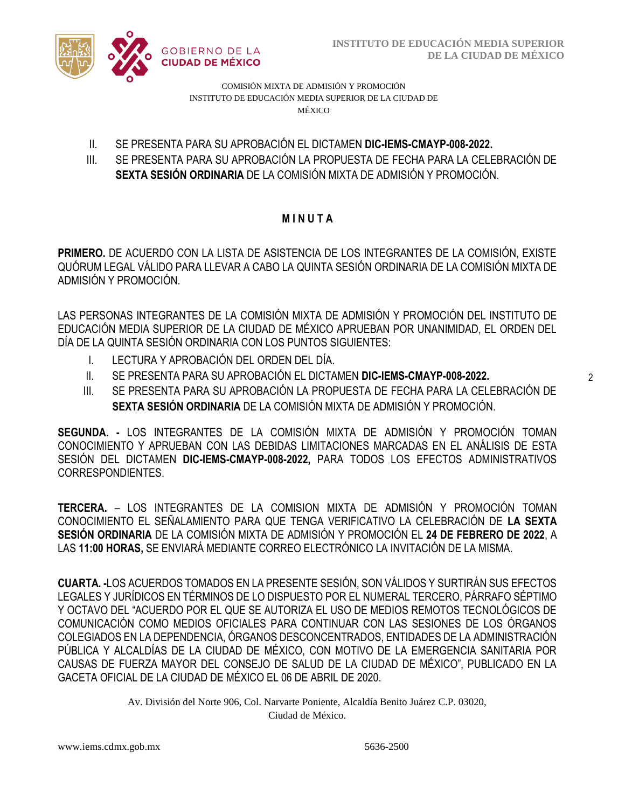

COMISIÓN MIXTA DE ADMISIÓN Y PROMOCIÓN INSTITUTO DE EDUCACIÓN MEDIA SUPERIOR DE LA CIUDAD DE MÉXICO

- II. SE PRESENTA PARA SU APROBACIÓN EL DICTAMEN **DIC-IEMS-CMAYP-008-2022.**
- III. SE PRESENTA PARA SU APROBACIÓN LA PROPUESTA DE FECHA PARA LA CELEBRACIÓN DE  **SEXTA SESIÓN ORDINARIA** DE LA COMISIÓN MIXTA DE ADMISIÓN Y PROMOCIÓN.

# **M I N U T A**

**PRIMERO.** DE ACUERDO CON LA LISTA DE ASISTENCIA DE LOS INTEGRANTES DE LA COMISIÓN, EXISTE QUÓRUM LEGAL VÁLIDO PARA LLEVAR A CABO LA QUINTA SESIÓN ORDINARIA DE LA COMISIÓN MIXTA DE ADMISIÓN Y PROMOCIÓN.

LAS PERSONAS INTEGRANTES DE LA COMISIÓN MIXTA DE ADMISIÓN Y PROMOCIÓN DEL INSTITUTO DE EDUCACIÓN MEDIA SUPERIOR DE LA CIUDAD DE MÉXICO APRUEBAN POR UNANIMIDAD, EL ORDEN DEL DÍA DE LA QUINTA SESIÓN ORDINARIA CON LOS PUNTOS SIGUIENTES:

- I. LECTURA Y APROBACIÓN DEL ORDEN DEL DÍA.
- II. SE PRESENTA PARA SU APROBACIÓN EL DICTAMEN **DIC-IEMS-CMAYP-008-2022.**
- III. SE PRESENTA PARA SU APROBACIÓN LA PROPUESTA DE FECHA PARA LA CELEBRACIÓN DE **SEXTA SESIÓN ORDINARIA** DE LA COMISIÓN MIXTA DE ADMISIÓN Y PROMOCIÓN.

**SEGUNDA. -** LOS INTEGRANTES DE LA COMISIÓN MIXTA DE ADMISIÓN Y PROMOCIÓN TOMAN CONOCIMIENTO Y APRUEBAN CON LAS DEBIDAS LIMITACIONES MARCADAS EN EL ANÁLISIS DE ESTA SESIÓN DEL DICTAMEN **DIC-IEMS-CMAYP-008-2022,** PARA TODOS LOS EFECTOS ADMINISTRATIVOS CORRESPONDIENTES.

**TERCERA.** – LOS INTEGRANTES DE LA COMISION MIXTA DE ADMISIÓN Y PROMOCIÓN TOMAN CONOCIMIENTO EL SEÑALAMIENTO PARA QUE TENGA VERIFICATIVO LA CELEBRACIÓN DE **LA SEXTA SESIÓN ORDINARIA** DE LA COMISIÓN MIXTA DE ADMISIÓN Y PROMOCIÓN EL **24 DE FEBRERO DE 2022**, A LAS **11:00 HORAS,** SE ENVIARÁ MEDIANTE CORREO ELECTRÓNICO LA INVITACIÓN DE LA MISMA.

**CUARTA. -**LOS ACUERDOS TOMADOS EN LA PRESENTE SESIÓN, SON VÁLIDOS Y SURTIRÁN SUS EFECTOS LEGALES Y JURÍDICOS EN TÉRMINOS DE LO DISPUESTO POR EL NUMERAL TERCERO, PÁRRAFO SÉPTIMO Y OCTAVO DEL "ACUERDO POR EL QUE SE AUTORIZA EL USO DE MEDIOS REMOTOS TECNOLÓGICOS DE COMUNICACIÓN COMO MEDIOS OFICIALES PARA CONTINUAR CON LAS SESIONES DE LOS ÓRGANOS COLEGIADOS EN LA DEPENDENCIA, ÓRGANOS DESCONCENTRADOS, ENTIDADES DE LA ADMINISTRACIÓN PÚBLICA Y ALCALDÍAS DE LA CIUDAD DE MÉXICO, CON MOTIVO DE LA EMERGENCIA SANITARIA POR CAUSAS DE FUERZA MAYOR DEL CONSEJO DE SALUD DE LA CIUDAD DE MÉXICO", PUBLICADO EN LA GACETA OFICIAL DE LA CIUDAD DE MÉXICO EL 06 DE ABRIL DE 2020.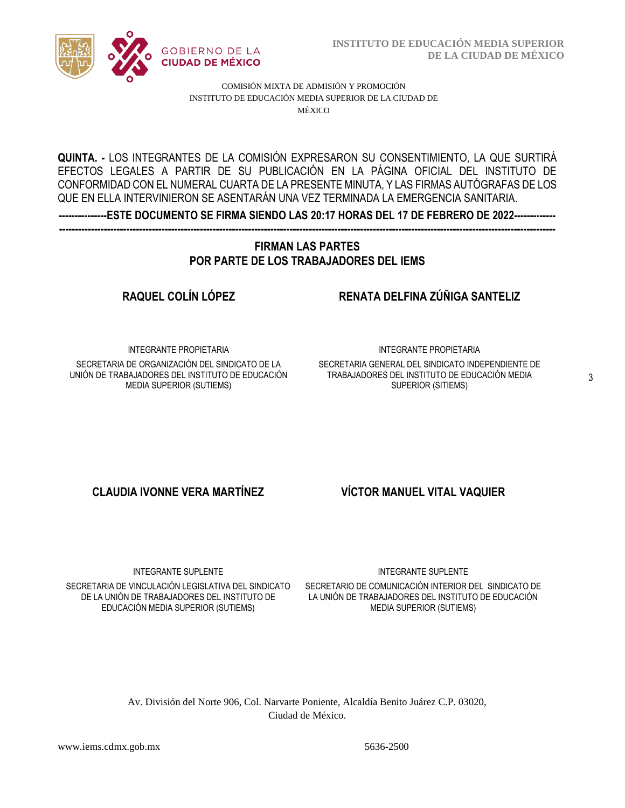

COMISIÓN MIXTA DE ADMISIÓN Y PROMOCIÓN INSTITUTO DE EDUCACIÓN MEDIA SUPERIOR DE LA CIUDAD DE MÉXICO

**QUINTA. -** LOS INTEGRANTES DE LA COMISIÓN EXPRESARON SU CONSENTIMIENTO, LA QUE SURTIRÁ  CONFORMIDAD CON EL NUMERAL CUARTA DE LA PRESENTE MINUTA, Y LAS FIRMAS AUTÓGRAFAS DE LOS EFECTOS LEGALES A PARTIR DE SU PUBLICACIÓN EN LA PÁGINA OFICIAL DEL INSTITUTO DE QUE EN ELLA INTERVINIERON SE ASENTARÁN UNA VEZ TERMINADA LA EMERGENCIA SANITARIA.

**---------------ESTE DOCUMENTO SE FIRMA SIENDO LAS 20:17 HORAS DEL 17 DE FEBRERO DE 2022------------- -----------------------------------------------------------------------------------------------------------------------------------------------------------** 

## **FIRMAN LAS PARTES POR PARTE DE LOS TRABAJADORES DEL IEMS**

**RAQUEL COLÍN LÓPEZ RENATA DELFINA ZÚÑIGA SANTELIZ**

INTEGRANTE PROPIETARIA

SECRETARIA DE ORGANIZACIÓN DEL SINDICATO DE LA UNIÓN DE TRABAJADORES DEL INSTITUTO DE EDUCACIÓN MEDIA SUPERIOR (SUTIEMS)

INTEGRANTE PROPIETARIA

SECRETARIA GENERAL DEL SINDICATO INDEPENDIENTE DE TRABAJADORES DEL INSTITUTO DE EDUCACIÓN MEDIA SUPERIOR (SITIEMS)

**CLAUDIA IVONNE VERA MARTÍNEZ VÍCTOR MANUEL VITAL VAQUIER**

INTEGRANTE SUPLENTE

SECRETARIA DE VINCULACIÓN LEGISLATIVA DEL SINDICATO DE LA UNIÓN DE TRABAJADORES DEL INSTITUTO DE EDUCACIÓN MEDIA SUPERIOR (SUTIEMS)

INTEGRANTE SUPLENTE

SECRETARIO DE COMUNICACIÓN INTERIOR DEL SINDICATO DE LA UNIÓN DE TRABAJADORES DEL INSTITUTO DE EDUCACIÓN MEDIA SUPERIOR (SUTIEMS)